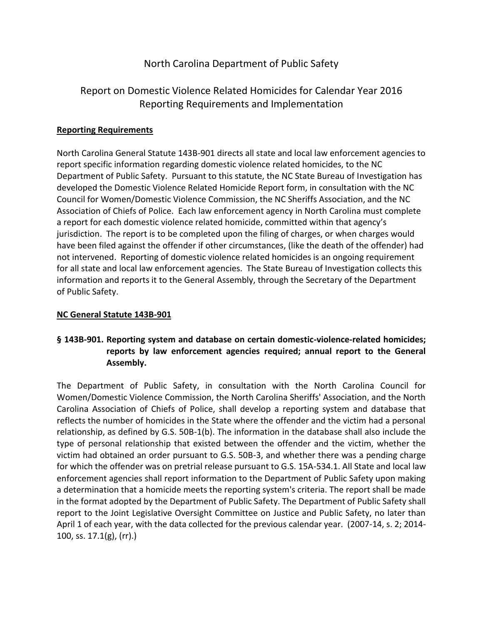## North Carolina Department of Public Safety

# Report on Domestic Violence Related Homicides for Calendar Year 2016 Reporting Requirements and Implementation

#### **Reporting Requirements**

North Carolina General Statute 143B-901 directs all state and local law enforcement agencies to report specific information regarding domestic violence related homicides, to the NC Department of Public Safety. Pursuant to this statute, the NC State Bureau of Investigation has developed the Domestic Violence Related Homicide Report form, in consultation with the NC Council for Women/Domestic Violence Commission, the NC Sheriffs Association, and the NC Association of Chiefs of Police. Each law enforcement agency in North Carolina must complete a report for each domestic violence related homicide, committed within that agency's jurisdiction. The report is to be completed upon the filing of charges, or when charges would have been filed against the offender if other circumstances, (like the death of the offender) had not intervened. Reporting of domestic violence related homicides is an ongoing requirement for all state and local law enforcement agencies. The State Bureau of Investigation collects this information and reports it to the General Assembly, through the Secretary of the Department of Public Safety.

#### **NC General Statute 143B-901**

### **§ 143B-901. Reporting system and database on certain domestic-violence-related homicides; reports by law enforcement agencies required; annual report to the General Assembly.**

The Department of Public Safety, in consultation with the North Carolina Council for Women/Domestic Violence Commission, the North Carolina Sheriffs' Association, and the North Carolina Association of Chiefs of Police, shall develop a reporting system and database that reflects the number of homicides in the State where the offender and the victim had a personal relationship, as defined by G.S. 50B-1(b). The information in the database shall also include the type of personal relationship that existed between the offender and the victim, whether the victim had obtained an order pursuant to G.S. 50B-3, and whether there was a pending charge for which the offender was on pretrial release pursuant to G.S. 15A-534.1. All State and local law enforcement agencies shall report information to the Department of Public Safety upon making a determination that a homicide meets the reporting system's criteria. The report shall be made in the format adopted by the Department of Public Safety. The Department of Public Safety shall report to the Joint Legislative Oversight Committee on Justice and Public Safety, no later than April 1 of each year, with the data collected for the previous calendar year. (2007-14, s. 2; 2014- 100, ss. 17.1(g), (rr).)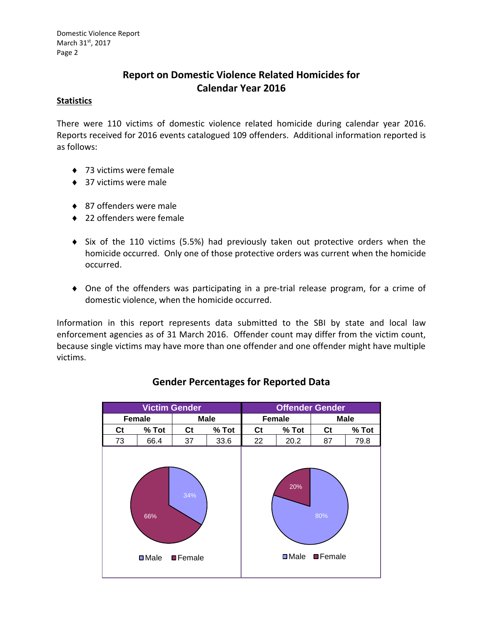# **Report on Domestic Violence Related Homicides for Calendar Year 2016**

#### **Statistics**

There were 110 victims of domestic violence related homicide during calendar year 2016. Reports received for 2016 events catalogued 109 offenders. Additional information reported is as follows:

- ◆ 73 victims were female
- ◆ 37 victims were male
- ◆ 87 offenders were male
- ◆ 22 offenders were female
- Six of the 110 victims (5.5%) had previously taken out protective orders when the homicide occurred. Only one of those protective orders was current when the homicide occurred.
- One of the offenders was participating in a pre-trial release program, for a crime of domestic violence, when the homicide occurred.

Information in this report represents data submitted to the SBI by state and local law enforcement agencies as of 31 March 2016. Offender count may differ from the victim count, because single victims may have more than one offender and one offender might have multiple victims.



## **Gender Percentages for Reported Data**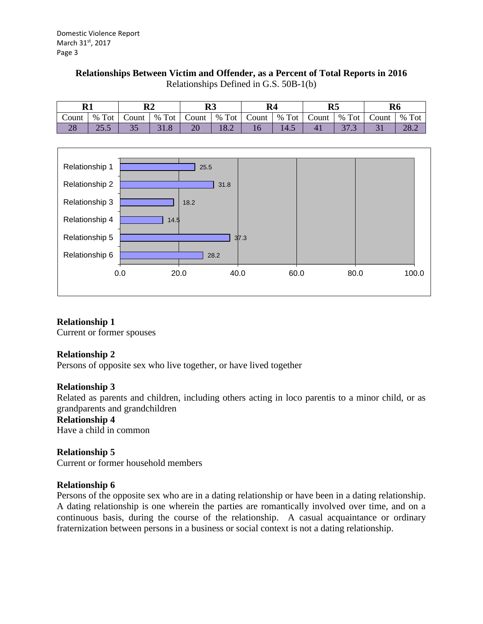#### **Relationships Between Victim and Offender, as a Percent of Total Reports in 2016**

| m.<br>17 T             |               | $\mathbf{R}2$ |                               | D)<br>w         |             | R <sub>4</sub> |        | DЕ<br>ĸэ |             | R <sub>6</sub>           |             |
|------------------------|---------------|---------------|-------------------------------|-----------------|-------------|----------------|--------|----------|-------------|--------------------------|-------------|
| Count                  | $%$ Tot       | Count         | Tot<br>%                      | Count           | Tot<br>%    | Count          | % Tot  | Count    | Tot<br>%    | $\sim$<br>Count          | $%$ Tot     |
| $\Omega$<br>$\angle$ 0 | n F<br>ر. ريد | ັບ            | $\mathbf{1} \cdot \mathbf{0}$ | $\overline{20}$ | 102<br>10.Z |                | $-1.7$ |          | $\sim$<br>. | $\overline{\phantom{0}}$ | 207<br>20.Z |

Relationships Defined in G.S. 50B-1(b)



### **Relationship 1**

Current or former spouses

### **Relationship 2**

Persons of opposite sex who live together, or have lived together

#### **Relationship 3**

Related as parents and children, including others acting in loco parentis to a minor child, or as grandparents and grandchildren

#### **Relationship 4**

Have a child in common

### **Relationship 5**

Current or former household members

#### **Relationship 6**

Persons of the opposite sex who are in a dating relationship or have been in a dating relationship. A dating relationship is one wherein the parties are romantically involved over time, and on a continuous basis, during the course of the relationship. A casual acquaintance or ordinary fraternization between persons in a business or social context is not a dating relationship.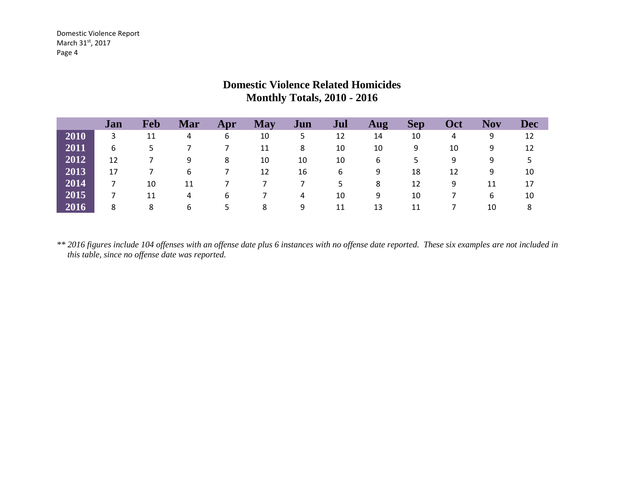|      | Jan | Feb | Mar | Apr | <b>May</b> | Jun | Jul | Aug | <b>Sep</b> | <b>Oct</b> | <b>Nov</b> | <b>Dec</b> |
|------|-----|-----|-----|-----|------------|-----|-----|-----|------------|------------|------------|------------|
| 2010 | 3   | 11  | 4   | 6   | 10         | 5   | 12  | 14  | 10         | 4          | 9          | 12         |
| 2011 | 6   | 5   |     |     | 11         | 8   | 10  | 10  | 9          | 10         | 9          | 12         |
| 2012 | 12  |     | 9   | 8   | 10         | 10  | 10  | 6   | 5          | 9          | 9          | 5          |
| 2013 | 17  |     | 6   |     | 12         | 16  | 6   | 9   | 18         | 12         | 9          | 10         |
| 2014 |     | 10  | 11  |     |            |     | 5.  | 8   | 12         | 9          | 11         | 17         |
| 2015 |     | 11  | 4   | 6   |            | 4   | 10  | 9   | 10         |            | 6          | 10         |
| 2016 | 8   | 8   | 6   | 5   | 8          | 9   | 11  | 13  | 11         |            | 10         | 8          |

# **Domestic Violence Related Homicides Monthly Totals, 2010 - 2016**

*\*\* 2016 figures include 104 offenses with an offense date plus 6 instances with no offense date reported. These six examples are not included in this table, since no offense date was reported.*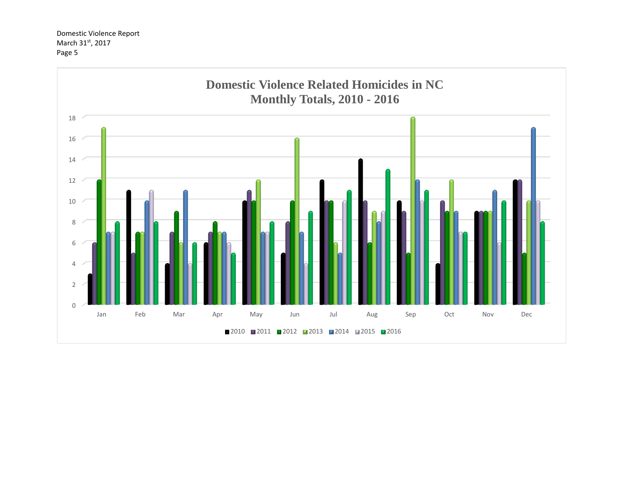Domestic Violence Report March 31st, 2017 Page 5

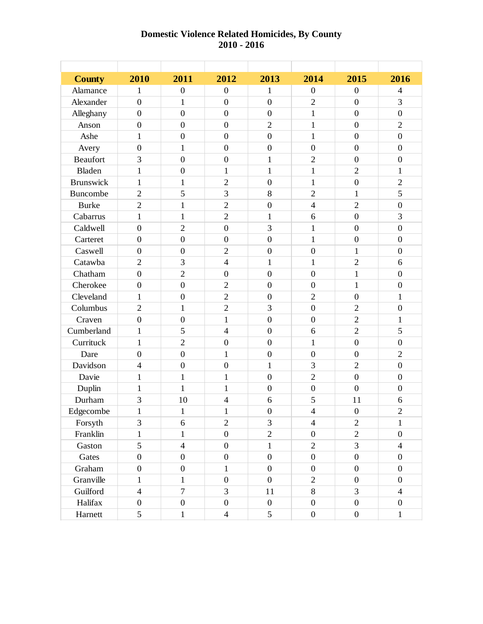#### **Domestic Violence Related Homicides, By County 2010 - 2016**

| <b>County</b>    | 2010             | 2011             | 2012             | 2013             | 2014                     | 2015             | 2016             |
|------------------|------------------|------------------|------------------|------------------|--------------------------|------------------|------------------|
| Alamance         | 1                | $\overline{0}$   | $\boldsymbol{0}$ | 1                | $\boldsymbol{0}$         | $\overline{0}$   | $\overline{4}$   |
| Alexander        | $\overline{0}$   | 1                | $\overline{0}$   | $\overline{0}$   | $\overline{2}$           | $\boldsymbol{0}$ | 3                |
| Alleghany        | $\overline{0}$   | $\boldsymbol{0}$ | $\boldsymbol{0}$ | $\overline{0}$   | $\mathbf{1}$             | $\overline{0}$   | $\boldsymbol{0}$ |
| Anson            | $\overline{0}$   | $\overline{0}$   | $\overline{0}$   | $\overline{2}$   | $\mathbf{1}$             | $\overline{0}$   | $\overline{2}$   |
| Ashe             | 1                | $\overline{0}$   | $\overline{0}$   | $\overline{0}$   | 1                        | $\overline{0}$   | $\overline{0}$   |
| Avery            | $\boldsymbol{0}$ | $\mathbf{1}$     | $\boldsymbol{0}$ | $\boldsymbol{0}$ | $\boldsymbol{0}$         | $\overline{0}$   | $\boldsymbol{0}$ |
| <b>Beaufort</b>  | 3                | $\boldsymbol{0}$ | $\boldsymbol{0}$ | 1                | $\overline{2}$           | $\overline{0}$   | $\boldsymbol{0}$ |
| <b>Bladen</b>    | $\mathbf{1}$     | $\overline{0}$   | $\mathbf{1}$     | $\mathbf{1}$     | $\mathbf{1}$             | $\overline{2}$   | $\mathbf{1}$     |
| <b>Brunswick</b> | $\mathbf{1}$     | 1                | $\overline{2}$   | $\overline{0}$   | $\mathbf{1}$             | $\overline{0}$   | $\overline{2}$   |
| Buncombe         | $\overline{2}$   | 5                | 3                | 8                | $\overline{2}$           | 1                | 5                |
| <b>Burke</b>     | $\overline{2}$   | $\mathbf{1}$     | $\overline{2}$   | $\overline{0}$   | $\overline{\mathcal{L}}$ | $\overline{2}$   | $\boldsymbol{0}$ |
| Cabarrus         | $\mathbf{1}$     | $\mathbf{1}$     | $\overline{2}$   | $\mathbf{1}$     | 6                        | $\overline{0}$   | 3                |
| Caldwell         | $\overline{0}$   | $\overline{2}$   | $\boldsymbol{0}$ | 3                | $\mathbf{1}$             | $\overline{0}$   | $\overline{0}$   |
| Carteret         | $\overline{0}$   | $\overline{0}$   | $\overline{0}$   | $\overline{0}$   | 1                        | $\overline{0}$   | $\overline{0}$   |
| Caswell          | $\overline{0}$   | $\overline{0}$   | $\overline{2}$   | $\overline{0}$   | $\boldsymbol{0}$         | $\mathbf{1}$     | $\boldsymbol{0}$ |
| Catawba          | $\overline{2}$   | 3                | $\overline{4}$   | 1                | $\mathbf{1}$             | $\overline{2}$   | 6                |
| Chatham          | $\overline{0}$   | $\overline{2}$   | $\boldsymbol{0}$ | $\overline{0}$   | $\overline{0}$           | 1                | $\overline{0}$   |
| Cherokee         | $\overline{0}$   | $\overline{0}$   | $\overline{2}$   | $\overline{0}$   | $\overline{0}$           | 1                | $\overline{0}$   |
| Cleveland        | 1                | $\overline{0}$   | $\overline{2}$   | $\overline{0}$   | $\overline{2}$           | $\overline{0}$   | $\mathbf{1}$     |
| Columbus         | $\overline{2}$   | $\mathbf{1}$     | $\overline{2}$   | 3                | $\boldsymbol{0}$         | $\overline{2}$   | $\boldsymbol{0}$ |
| Craven           | $\overline{0}$   | $\overline{0}$   | $\mathbf{1}$     | $\overline{0}$   | $\overline{0}$           | $\overline{2}$   | 1                |
| Cumberland       | $\mathbf{1}$     | 5                | $\overline{4}$   | $\overline{0}$   | 6                        | $\overline{2}$   | 5                |
| Currituck        | $\mathbf{1}$     | $\overline{2}$   | $\overline{0}$   | $\overline{0}$   | $\mathbf{1}$             | $\overline{0}$   | $\overline{0}$   |
| Dare             | $\overline{0}$   | $\overline{0}$   | 1                | $\overline{0}$   | $\overline{0}$           | $\overline{0}$   | $\overline{2}$   |
| Davidson         | $\overline{4}$   | $\overline{0}$   | $\boldsymbol{0}$ | $\mathbf{1}$     | 3                        | $\overline{2}$   | $\mathbf{0}$     |
| Davie            | $\mathbf{1}$     | $\mathbf{1}$     | $\mathbf{1}$     | $\overline{0}$   | $\overline{2}$           | $\overline{0}$   | $\boldsymbol{0}$ |
| Duplin           | $\mathbf{1}$     | $\mathbf{1}$     | $\mathbf{1}$     | $\overline{0}$   | $\boldsymbol{0}$         | $\overline{0}$   | $\overline{0}$   |
| Durham           | 3                | 10               | $\overline{4}$   | 6                | 5                        | 11               | 6                |
| Edgecombe        | $\mathbf{1}$     | $\mathbf{1}$     | $\mathbf{1}$     | $\overline{0}$   | $\overline{4}$           | $\overline{0}$   | $\overline{2}$   |
| Forsyth          | 3                | 6                | $\sqrt{2}$       | 3                | $\overline{4}$           | $\mathbf{2}$     | $\mathbf{1}$     |
| Franklin         | $\mathbf{1}$     | $\mathbf{1}$     | $\boldsymbol{0}$ | $\overline{2}$   | $\boldsymbol{0}$         | $\overline{2}$   | $\boldsymbol{0}$ |
| Gaston           | 5                | $\overline{4}$   | $\boldsymbol{0}$ | $\mathbf{1}$     | $\overline{2}$           | 3                | $\overline{4}$   |
| Gates            | $\boldsymbol{0}$ | $\overline{0}$   | $\boldsymbol{0}$ | $\boldsymbol{0}$ | $\boldsymbol{0}$         | $\boldsymbol{0}$ | $\boldsymbol{0}$ |
| Graham           | $\boldsymbol{0}$ | $\boldsymbol{0}$ | $\mathbf{1}$     | $\overline{0}$   | $\boldsymbol{0}$         | $\boldsymbol{0}$ | $\boldsymbol{0}$ |
| Granville        | $\mathbf{1}$     | $\mathbf{1}$     | $\boldsymbol{0}$ | $\mathbf{0}$     | $\overline{2}$           | $\boldsymbol{0}$ | $\boldsymbol{0}$ |
| Guilford         | $\overline{4}$   | $\overline{7}$   | $\overline{3}$   | 11               | 8                        | $\overline{3}$   | $\overline{4}$   |
| Halifax          | $\boldsymbol{0}$ | $\boldsymbol{0}$ | $\boldsymbol{0}$ | $\boldsymbol{0}$ | $\boldsymbol{0}$         | $\boldsymbol{0}$ | $\boldsymbol{0}$ |
| Harnett          | $\mathfrak{S}$   | $\mathbf{1}$     | $\overline{4}$   | 5                | $\boldsymbol{0}$         | $\boldsymbol{0}$ | $\mathbf{1}$     |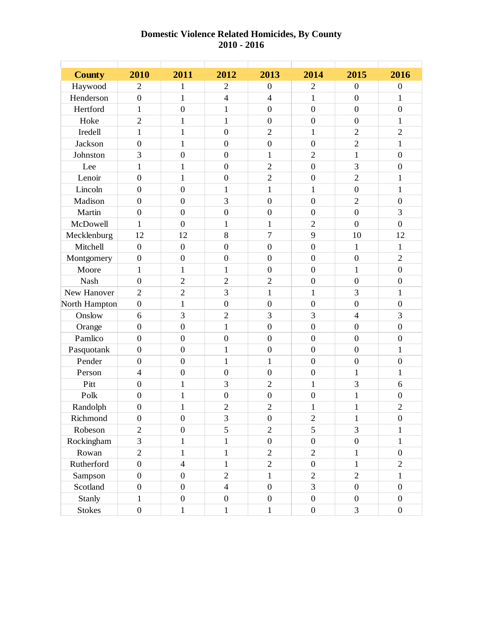#### **Domestic Violence Related Homicides, By County 2010 - 2016**

| <b>County</b> | 2010             | 2011             | 2012             | 2013             | 2014             | 2015             | 2016             |
|---------------|------------------|------------------|------------------|------------------|------------------|------------------|------------------|
| Haywood       | $\overline{2}$   | 1                | $\overline{2}$   | $\overline{0}$   | $\overline{2}$   | $\overline{0}$   | $\boldsymbol{0}$ |
| Henderson     | $\overline{0}$   | 1                | $\overline{4}$   | $\overline{4}$   | 1                | $\boldsymbol{0}$ | 1                |
| Hertford      | $\mathbf{1}$     | $\overline{0}$   | $\mathbf{1}$     | $\overline{0}$   | $\boldsymbol{0}$ | $\overline{0}$   | $\mathbf{0}$     |
| Hoke          | $\overline{2}$   | $\mathbf{1}$     | $\mathbf{1}$     | $\boldsymbol{0}$ | $\boldsymbol{0}$ | $\boldsymbol{0}$ | $\mathbf{1}$     |
| Iredell       | $\mathbf{1}$     | $\mathbf{1}$     | $\overline{0}$   | $\overline{2}$   | $\mathbf{1}$     | $\overline{2}$   | $\overline{2}$   |
| Jackson       | $\mathbf{0}$     | $\mathbf{1}$     | $\mathbf{0}$     | $\overline{0}$   | $\boldsymbol{0}$ | $\overline{2}$   | $\mathbf{1}$     |
| Johnston      | 3                | $\overline{0}$   | $\overline{0}$   | $\mathbf{1}$     | $\overline{2}$   | $\mathbf{1}$     | $\boldsymbol{0}$ |
| Lee           | $\mathbf{1}$     | $\mathbf{1}$     | $\mathbf{0}$     | $\overline{2}$   | $\boldsymbol{0}$ | 3                | $\mathbf{0}$     |
| Lenoir        | $\boldsymbol{0}$ | $\mathbf{1}$     | $\boldsymbol{0}$ | $\overline{2}$   | $\boldsymbol{0}$ | $\overline{2}$   | 1                |
| Lincoln       | $\boldsymbol{0}$ | $\boldsymbol{0}$ | $\mathbf{1}$     | $\mathbf{1}$     | $\mathbf{1}$     | $\boldsymbol{0}$ | $\mathbf{1}$     |
| Madison       | $\overline{0}$   | $\boldsymbol{0}$ | 3                | $\overline{0}$   | $\overline{0}$   | $\overline{2}$   | $\overline{0}$   |
| Martin        | $\overline{0}$   | $\overline{0}$   | $\overline{0}$   | $\overline{0}$   | $\overline{0}$   | $\overline{0}$   | 3                |
| McDowell      | $\mathbf{1}$     | $\overline{0}$   | $\mathbf{1}$     | $\mathbf{1}$     | $\sqrt{2}$       | $\overline{0}$   | $\overline{0}$   |
| Mecklenburg   | 12               | 12               | 8                | $\overline{7}$   | 9                | 10               | 12               |
| Mitchell      | $\overline{0}$   | $\overline{0}$   | $\overline{0}$   | $\overline{0}$   | $\overline{0}$   | $\mathbf{1}$     | $\mathbf{1}$     |
| Montgomery    | $\boldsymbol{0}$ | $\boldsymbol{0}$ | $\boldsymbol{0}$ | $\boldsymbol{0}$ | $\overline{0}$   | $\boldsymbol{0}$ | $\overline{2}$   |
| Moore         | $\mathbf{1}$     | $\mathbf{1}$     | $\mathbf{1}$     | $\overline{0}$   | $\overline{0}$   | $\mathbf{1}$     | $\overline{0}$   |
| Nash          | $\boldsymbol{0}$ | $\overline{2}$   | $\mathfrak{2}$   | $\sqrt{2}$       | $\boldsymbol{0}$ | $\overline{0}$   | $\boldsymbol{0}$ |
| New Hanover   | $\overline{2}$   | $\overline{2}$   | 3                | $\mathbf{1}$     | $\mathbf{1}$     | 3                | $\mathbf{1}$     |
| North Hampton | $\boldsymbol{0}$ | $\mathbf{1}$     | $\overline{0}$   | $\overline{0}$   | $\boldsymbol{0}$ | $\overline{0}$   | $\mathbf{0}$     |
| Onslow        | 6                | 3                | $\overline{2}$   | 3                | 3                | $\overline{4}$   | 3                |
| Orange        | $\boldsymbol{0}$ | $\overline{0}$   | $\mathbf{1}$     | $\overline{0}$   | $\boldsymbol{0}$ | $\overline{0}$   | $\mathbf{0}$     |
| Pamlico       | $\boldsymbol{0}$ | $\boldsymbol{0}$ | $\boldsymbol{0}$ | $\boldsymbol{0}$ | $\boldsymbol{0}$ | $\boldsymbol{0}$ | $\boldsymbol{0}$ |
| Pasquotank    | $\overline{0}$   | $\overline{0}$   | $\mathbf{1}$     | $\overline{0}$   | $\overline{0}$   | $\overline{0}$   | $\mathbf{1}$     |
| Pender        | $\boldsymbol{0}$ | $\overline{0}$   | $\mathbf{1}$     | $\mathbf{1}$     | $\overline{0}$   | $\mathbf{0}$     | $\mathbf{0}$     |
| Person        | $\overline{4}$   | $\overline{0}$   | $\boldsymbol{0}$ | $\overline{0}$   | $\boldsymbol{0}$ | $\mathbf{1}$     | 1                |
| Pitt          | $\overline{0}$   | $\mathbf{1}$     | 3                | $\overline{2}$   | $\mathbf{1}$     | 3                | 6                |
| Polk          | $\overline{0}$   | $\mathbf{1}$     | $\mathbf{0}$     | $\overline{0}$   | $\boldsymbol{0}$ | $\mathbf{1}$     | $\boldsymbol{0}$ |
| Randolph      | $\boldsymbol{0}$ | $\mathbf{1}$     | $\overline{c}$   | $\overline{2}$   | $\mathbf{1}$     | $\mathbf{1}$     | $\overline{c}$   |
| Richmond      | $\boldsymbol{0}$ | $\boldsymbol{0}$ | $\mathfrak{Z}$   | $\boldsymbol{0}$ | $\mathbf{2}$     | 1                | $\overline{0}$   |
| Robeson       | $\overline{2}$   | $\boldsymbol{0}$ | 5                | $\overline{2}$   | 5                | $\overline{3}$   | $\mathbf{1}$     |
| Rockingham    | 3                | $\mathbf{1}$     | $\mathbf{1}$     | $\boldsymbol{0}$ | $\boldsymbol{0}$ | $\boldsymbol{0}$ | $\mathbf{1}$     |
| Rowan         | $\overline{2}$   | $\mathbf{1}$     | $\mathbf{1}$     | $\overline{2}$   | $\overline{2}$   | 1                | $\boldsymbol{0}$ |
| Rutherford    | $\boldsymbol{0}$ | $\overline{4}$   | $\mathbf{1}$     | $\mathbf{2}$     | $\boldsymbol{0}$ | $\mathbf{1}$     | $\mathfrak{2}$   |
| Sampson       | $\boldsymbol{0}$ | $\boldsymbol{0}$ | $\overline{2}$   | $\mathbf{1}$     | $\sqrt{2}$       | $\overline{2}$   | $\mathbf{1}$     |
| Scotland      | $\overline{0}$   | $\overline{0}$   | $\overline{4}$   | $\overline{0}$   | 3                | $\boldsymbol{0}$ | $\boldsymbol{0}$ |
| Stanly        | $\mathbf{1}$     | $\boldsymbol{0}$ | $\boldsymbol{0}$ | $\boldsymbol{0}$ | $\boldsymbol{0}$ | $\boldsymbol{0}$ | $\boldsymbol{0}$ |
| <b>Stokes</b> | $\boldsymbol{0}$ | $\mathbf{1}$     | $\mathbf{1}$     | $\mathbf{1}$     | $\boldsymbol{0}$ | 3                | $\boldsymbol{0}$ |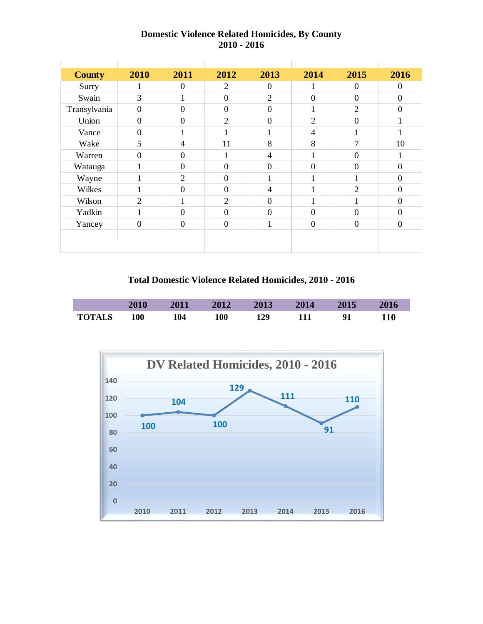| <b>County</b> | 2010           | 2011           | 2012             | 2013           | 2014           | 2015           | 2016           |
|---------------|----------------|----------------|------------------|----------------|----------------|----------------|----------------|
| Surry         | 1              | $\overline{0}$ | $\mathfrak{2}$   | $\overline{0}$ |                | $\overline{0}$ | $\overline{0}$ |
| Swain         | 3              | 1              | $\boldsymbol{0}$ | $\overline{2}$ | $\overline{0}$ | $\overline{0}$ | $\overline{0}$ |
| Transylvania  | $\overline{0}$ | $\overline{0}$ | $\boldsymbol{0}$ | $\overline{0}$ | $\mathbf{1}$   | $\overline{2}$ | $\overline{0}$ |
| Union         | $\overline{0}$ | $\Omega$       | $\overline{2}$   | $\overline{0}$ | $\overline{2}$ | $\overline{0}$ | 1              |
| Vance         | $\overline{0}$ | 1              | $\mathbf{1}$     | 1              | $\overline{4}$ | $\mathbf{1}$   | 1              |
| Wake          | 5              | $\overline{4}$ | 11               | 8              | 8              | 7              | 10             |
| Warren        | $\overline{0}$ | $\Omega$       | 1                | $\overline{4}$ | $\mathbf{1}$   | $\overline{0}$ | 1              |
| Watauga       | 1              | $\Omega$       | $\overline{0}$   | $\overline{0}$ | $\overline{0}$ | $\overline{0}$ | $\theta$       |
| Wayne         | $\mathbf{1}$   | $\overline{2}$ | $\overline{0}$   | $\mathbf{1}$   | 1              | 1              | $\overline{0}$ |
| Wilkes        | 1.             | $\theta$       | $\overline{0}$   | $\overline{4}$ | 1<br>1         | $\mathfrak{2}$ | $\theta$       |
| Wilson        | $\overline{2}$ | 1              | $\overline{2}$   | $\overline{0}$ | $\mathbf{1}$   | 1              | $\overline{0}$ |
| Yadkin        | $\mathbf{1}$   | $\Omega$       | $\boldsymbol{0}$ | $\Omega$       | $\overline{0}$ | $\Omega$       | $\Omega$       |
| Yancey        | $\overline{0}$ | $\overline{0}$ | $\boldsymbol{0}$ | 1              | $\overline{0}$ | $\overline{0}$ | $\overline{0}$ |
|               |                |                |                  |                |                |                |                |
|               |                |                |                  |                |                |                |                |

### **Domestic Violence Related Homicides, By County 2010 - 2016**

**Total Domestic Violence Related Homicides, 2010 - 2016**



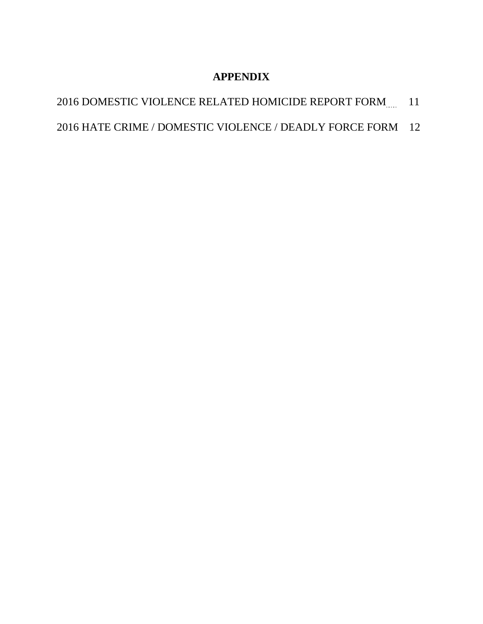# **APPENDIX**

- 2016 DOMESTIC VIOLENCE RELATED HOMICIDE REPORT FORM..... 11
- 2016 HATE CRIME / DOMESTIC VIOLENCE / DEADLY FORCE FORM 12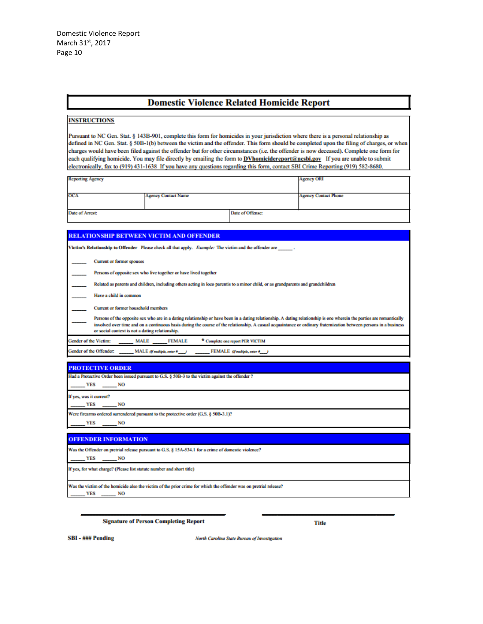#### **Domestic Violence Related Homicide Report**

#### **INSTRUCTIONS**

Pursuant to NC Gen. Stat. § 143B-901, complete this form for homicides in your jurisdiction where there is a personal relationship as defined in NC Gen. Stat. § 50B-1(b) between the victim and the offender. This form should be completed upon the filing of charges, or when charges would have been filed against the offender but for other circumstances (i.e. the offender is now deceased). Complete one form for each qualifying homicide. You may file directly by emailing the form to **DVhomicidereport@nesbi.gov** If you are unable to submit electronically, fax to (919) 431-1638 If you have any questions regarding this form, contact SBI Crime Reporting (919) 582-8680.

|                            | <b>Agency ORI</b>           |
|----------------------------|-----------------------------|
|                            |                             |
| <b>Agency Contact Name</b> | <b>Agency Contact Phone</b> |
|                            |                             |
|                            |                             |
|                            | Date of Offense:            |

#### RELATIONSHIP BETWEEN VICTIM AND OFFENDER

Victim's Relationship to Offender Please check all that apply. Example: The victim and the offender are \_\_\_\_\_\_\_.

| Current or former spouse |  |  |
|--------------------------|--|--|

Persons of opposite sex who live together or have lived together

Related as parents and children, including others acting in loco parentis to a minor child, or as grandparents and grandchildren

Have a child in common

Current or former household members

Persons of the opposite sex who are in a dating relationship or have been in a dating relationship. A dating relationship is one wherein the parties are romant involved over time and on a continuous basis during the course of the relationship. A casual acquaintance or ordinary fraternization between persons in a business or social context is not a dating relationship.

iender of the Victim: **MALE FEMALE** \* Complete one report PER VICTIM

ender of the Offender: MALE (Faultiple, enter #\_\_\_) FEMALE (fourtiple, over 8.17)

| <b>PROTECTIVE ORDER</b>                                                                             |  |  |  |  |  |  |  |  |  |  |
|-----------------------------------------------------------------------------------------------------|--|--|--|--|--|--|--|--|--|--|
| Had a Protective Order been issued pursuant to G.S. § 50B-3 to the victim against the offender ?    |  |  |  |  |  |  |  |  |  |  |
| YES NO                                                                                              |  |  |  |  |  |  |  |  |  |  |
| If yes, was it current?                                                                             |  |  |  |  |  |  |  |  |  |  |
| $YES$ NO                                                                                            |  |  |  |  |  |  |  |  |  |  |
| Were firearms ordered surrendered pursuant to the protective order (G.S. § 50B-3.1)?                |  |  |  |  |  |  |  |  |  |  |
| VES NO                                                                                              |  |  |  |  |  |  |  |  |  |  |
|                                                                                                     |  |  |  |  |  |  |  |  |  |  |
| <b>OFFENDER INFORMATION</b>                                                                         |  |  |  |  |  |  |  |  |  |  |
| Was the Offender on pretrial release pursuant to G.S. § 15A-534.1 for a crime of domestic violence? |  |  |  |  |  |  |  |  |  |  |
| YES<br>NO                                                                                           |  |  |  |  |  |  |  |  |  |  |

If yes, for what charge? (Please list statute number and short title)

Was the victim of the homicide also the victim of the prior crime for which the offender was on pretrial release? **YES NO** 

**Signature of Person Completing Report** 

**Title** 

**SBI - ### Pending** 

North Carolina State Bureau of Investigation